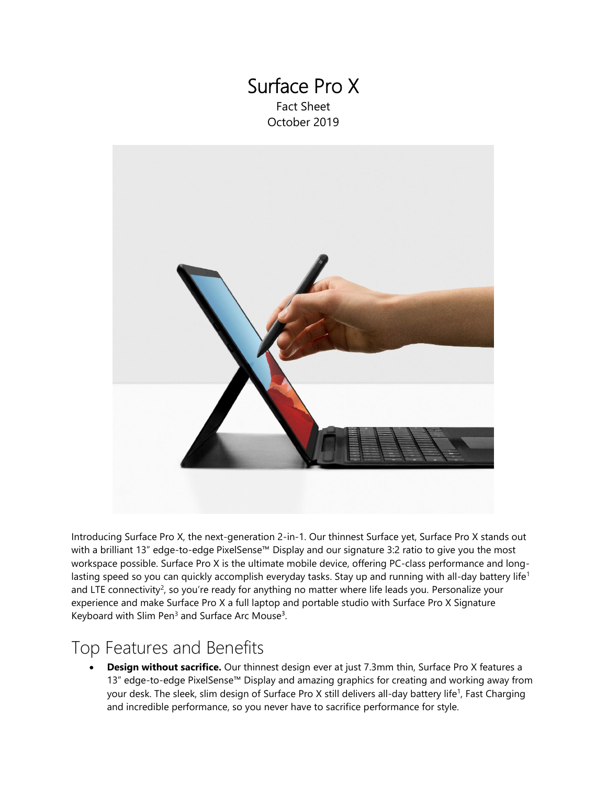# Surface Pro X Fact Sheet

October 2019



Introducing Surface Pro X, the next-generation 2-in-1. Our thinnest Surface yet, Surface Pro X stands out with a brilliant 13" edge-to-edge PixelSense™ Display and our signature 3:2 ratio to give you the most workspace possible. Surface Pro X is the ultimate mobile device, offering PC-class performance and longlasting speed so you can quickly accomplish everyday tasks. Stay up and running with all-day battery life<sup>1</sup> and LTE connectivity<sup>2</sup>, so you're ready for anything no matter where life leads you. Personalize your experience and make Surface Pro X a full laptop and portable studio with Surface Pro X Signature Keyboard with Slim Pen<sup>3</sup> and Surface Arc Mouse<sup>3</sup>.

### Top Features and Benefits

• **Design without sacrifice.** Our thinnest design ever at just 7.3mm thin, Surface Pro X features a 13" edge-to-edge PixelSense™ Display and amazing graphics for creating and working away from your desk. The sleek, slim design of Surface Pro X still delivers all-day battery life<sup>1</sup>, Fast Charging and incredible performance, so you never have to sacrifice performance for style.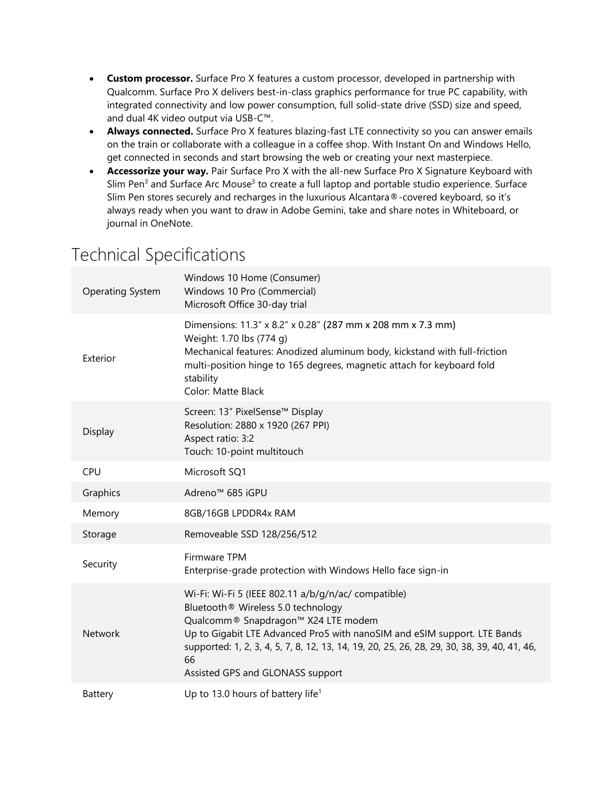- **Custom processor.** Surface Pro X features a custom processor, developed in partnership with Qualcomm. Surface Pro X delivers best-in-class graphics performance for true PC capability, with integrated connectivity and low power consumption, full solid-state drive (SSD) size and speed, and dual 4K video output via USB-C™.
- **Always connected.** Surface Pro X features blazing-fast LTE connectivity so you can answer emails on the train or collaborate with a colleague in a coffee shop. With Instant On and Windows Hello, get connected in seconds and start browsing the web or creating your next masterpiece.
- **Accessorize your way.** Pair Surface Pro X with the all-new Surface Pro X Signature Keyboard with Slim Pen<sup>3</sup> and Surface Arc Mouse<sup>3</sup> to create a full laptop and portable studio experience. Surface Slim Pen stores securely and recharges in the luxurious Alcantara®-covered keyboard, so it's always ready when you want to draw in Adobe Gemini, take and share notes in Whiteboard, or journal in OneNote.

## Technical Specifications

| <b>Operating System</b> | Windows 10 Home (Consumer)<br>Windows 10 Pro (Commercial)<br>Microsoft Office 30-day trial                                                                                                                                                                                                                                                            |
|-------------------------|-------------------------------------------------------------------------------------------------------------------------------------------------------------------------------------------------------------------------------------------------------------------------------------------------------------------------------------------------------|
| Exterior                | Dimensions: 11.3" x 8.2" x 0.28" (287 mm x 208 mm x 7.3 mm)<br>Weight: 1.70 lbs (774 g)<br>Mechanical features: Anodized aluminum body, kickstand with full-friction<br>multi-position hinge to 165 degrees, magnetic attach for keyboard fold<br>stability<br>Color: Matte Black                                                                     |
| Display                 | Screen: 13" PixelSense™ Display<br>Resolution: 2880 x 1920 (267 PPI)<br>Aspect ratio: 3:2<br>Touch: 10-point multitouch                                                                                                                                                                                                                               |
| CPU                     | Microsoft SQ1                                                                                                                                                                                                                                                                                                                                         |
| Graphics                | Adreno <sup>™</sup> 685 iGPU                                                                                                                                                                                                                                                                                                                          |
| Memory                  | 8GB/16GB LPDDR4x RAM                                                                                                                                                                                                                                                                                                                                  |
| Storage                 | Removeable SSD 128/256/512                                                                                                                                                                                                                                                                                                                            |
| Security                | <b>Firmware TPM</b><br>Enterprise-grade protection with Windows Hello face sign-in                                                                                                                                                                                                                                                                    |
| <b>Network</b>          | Wi-Fi: Wi-Fi 5 (IEEE 802.11 a/b/g/n/ac/ compatible)<br>Bluetooth® Wireless 5.0 technology<br>Qualcomm® Snapdragon™ X24 LTE modem<br>Up to Gigabit LTE Advanced Pro5 with nanoSIM and eSIM support. LTE Bands<br>supported: 1, 2, 3, 4, 5, 7, 8, 12, 13, 14, 19, 20, 25, 26, 28, 29, 30, 38, 39, 40, 41, 46,<br>66<br>Assisted GPS and GLONASS support |
| Battery                 | Up to 13.0 hours of battery life <sup>1</sup>                                                                                                                                                                                                                                                                                                         |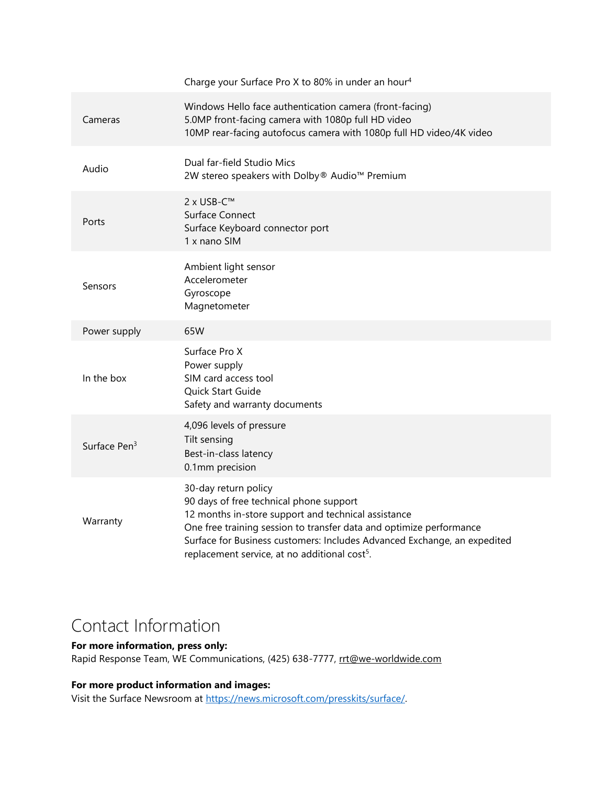|                          | Charge your Surface Pro X to 80% in under an hour <sup>4</sup>                                                                                                                                                                                                                                                                         |
|--------------------------|----------------------------------------------------------------------------------------------------------------------------------------------------------------------------------------------------------------------------------------------------------------------------------------------------------------------------------------|
| Cameras                  | Windows Hello face authentication camera (front-facing)<br>5.0MP front-facing camera with 1080p full HD video<br>10MP rear-facing autofocus camera with 1080p full HD video/4K video                                                                                                                                                   |
| Audio                    | Dual far-field Studio Mics<br>2W stereo speakers with Dolby® Audio™ Premium                                                                                                                                                                                                                                                            |
| Ports                    | 2 x USB-C™<br>Surface Connect<br>Surface Keyboard connector port<br>1 x nano SIM                                                                                                                                                                                                                                                       |
| Sensors                  | Ambient light sensor<br>Accelerometer<br>Gyroscope<br>Magnetometer                                                                                                                                                                                                                                                                     |
| Power supply             | 65W                                                                                                                                                                                                                                                                                                                                    |
| In the box               | Surface Pro X<br>Power supply<br>SIM card access tool<br>Quick Start Guide<br>Safety and warranty documents                                                                                                                                                                                                                            |
| Surface Pen <sup>3</sup> | 4,096 levels of pressure<br>Tilt sensing<br>Best-in-class latency<br>0.1mm precision                                                                                                                                                                                                                                                   |
| Warranty                 | 30-day return policy<br>90 days of free technical phone support<br>12 months in-store support and technical assistance<br>One free training session to transfer data and optimize performance<br>Surface for Business customers: Includes Advanced Exchange, an expedited<br>replacement service, at no additional cost <sup>5</sup> . |

# Contact Information

#### **For more information, press only:**

Rapid Response Team, WE Communications, (425) 638-7777, [rrt@we-worldwide.com](mailto:rrt@waggeneredstrom.com)

### **For more product information and images:**

Visit the Surface Newsroom at [https://news.microsoft.com/presskits/surface/.](https://news.microsoft.com/presskits/surface/)